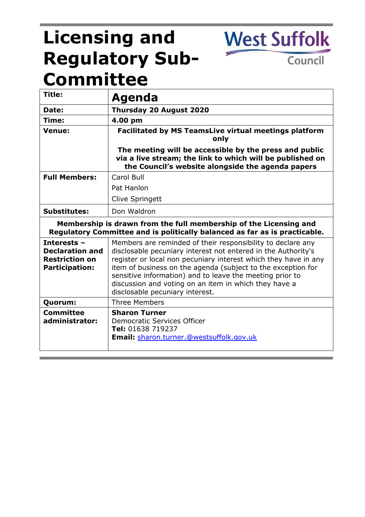# **Licensing and Regulatory Sub-Committee**

**West Suffolk** 

Council

| Title:                                                                                                                                          | Agenda                                                                                                                                                                                                                                                                                                                                                                                                                  |
|-------------------------------------------------------------------------------------------------------------------------------------------------|-------------------------------------------------------------------------------------------------------------------------------------------------------------------------------------------------------------------------------------------------------------------------------------------------------------------------------------------------------------------------------------------------------------------------|
| Date:                                                                                                                                           | Thursday 20 August 2020                                                                                                                                                                                                                                                                                                                                                                                                 |
| Time:                                                                                                                                           | 4.00 pm                                                                                                                                                                                                                                                                                                                                                                                                                 |
| <b>Venue:</b>                                                                                                                                   | <b>Facilitated by MS TeamsLive virtual meetings platform</b><br>only                                                                                                                                                                                                                                                                                                                                                    |
|                                                                                                                                                 | The meeting will be accessible by the press and public<br>via a live stream; the link to which will be published on<br>the Council's website alongside the agenda papers                                                                                                                                                                                                                                                |
| <b>Full Members:</b>                                                                                                                            | Carol Bull                                                                                                                                                                                                                                                                                                                                                                                                              |
|                                                                                                                                                 | Pat Hanlon                                                                                                                                                                                                                                                                                                                                                                                                              |
|                                                                                                                                                 | Clive Springett                                                                                                                                                                                                                                                                                                                                                                                                         |
| <b>Substitutes:</b>                                                                                                                             | Don Waldron                                                                                                                                                                                                                                                                                                                                                                                                             |
| Membership is drawn from the full membership of the Licensing and<br>Regulatory Committee and is politically balanced as far as is practicable. |                                                                                                                                                                                                                                                                                                                                                                                                                         |
| Interests -<br><b>Declaration and</b><br><b>Restriction on</b><br><b>Participation:</b>                                                         | Members are reminded of their responsibility to declare any<br>disclosable pecuniary interest not entered in the Authority's<br>register or local non pecuniary interest which they have in any<br>item of business on the agenda (subject to the exception for<br>sensitive information) and to leave the meeting prior to<br>discussion and voting on an item in which they have a<br>disclosable pecuniary interest. |
| Quorum:                                                                                                                                         | <b>Three Members</b>                                                                                                                                                                                                                                                                                                                                                                                                    |
| Committee<br>administrator:                                                                                                                     | <b>Sharon Turner</b><br>Democratic Services Officer<br>Tel: 01638 719237<br>Email: sharon.turner.@westsuffolk.gov.uk                                                                                                                                                                                                                                                                                                    |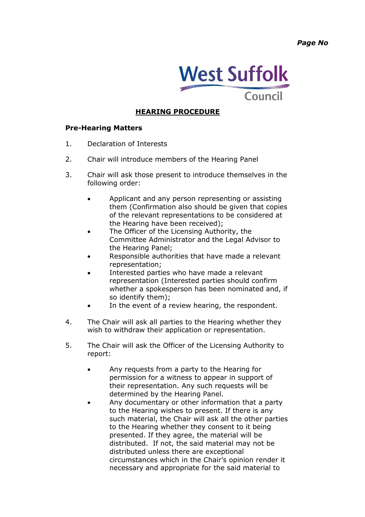*Page No*



## **HEARING PROCEDURE**

#### **Pre-Hearing Matters**

- 1. Declaration of Interests
- 2. Chair will introduce members of the Hearing Panel
- 3. Chair will ask those present to introduce themselves in the following order:
	- Applicant and any person representing or assisting them (Confirmation also should be given that copies of the relevant representations to be considered at the Hearing have been received);
	- The Officer of the Licensing Authority, the Committee Administrator and the Legal Advisor to the Hearing Panel;
	- Responsible authorities that have made a relevant representation;
	- Interested parties who have made a relevant representation (Interested parties should confirm whether a spokesperson has been nominated and, if so identify them);
	- In the event of a review hearing, the respondent.
- 4. The Chair will ask all parties to the Hearing whether they wish to withdraw their application or representation.
- 5. The Chair will ask the Officer of the Licensing Authority to report:
	- Any requests from a party to the Hearing for permission for a witness to appear in support of their representation. Any such requests will be determined by the Hearing Panel.
	- Any documentary or other information that a party to the Hearing wishes to present. If there is any such material, the Chair will ask all the other parties to the Hearing whether they consent to it being presented. If they agree, the material will be distributed. If not, the said material may not be distributed unless there are exceptional circumstances which in the Chair's opinion render it necessary and appropriate for the said material to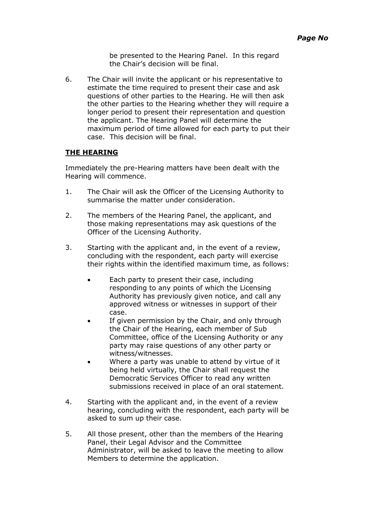be presented to the Hearing Panel. In this regard the Chair's decision will be final.

6. The Chair will invite the applicant or his representative to estimate the time required to present their case and ask questions of other parties to the Hearing. He will then ask the other parties to the Hearing whether they will require a longer period to present their representation and question the applicant. The Hearing Panel will determine the maximum period of time allowed for each party to put their case. This decision will be final.

### **THE HEARING**

Immediately the pre-Hearing matters have been dealt with the Hearing will commence.

- 1. The Chair will ask the Officer of the Licensing Authority to summarise the matter under consideration.
- 2. The members of the Hearing Panel, the applicant, and those making representations may ask questions of the Officer of the Licensing Authority.
- 3. Starting with the applicant and, in the event of a review, concluding with the respondent, each party will exercise their rights within the identified maximum time, as follows:
	- Each party to present their case, including responding to any points of which the Licensing Authority has previously given notice, and call any approved witness or witnesses in support of their case.
	- If given permission by the Chair, and only through the Chair of the Hearing, each member of Sub Committee, office of the Licensing Authority or any party may raise questions of any other party or witness/witnesses.
	- Where a party was unable to attend by virtue of it being held virtually, the Chair shall request the Democratic Services Officer to read any written submissions received in place of an oral statement.
- 4. Starting with the applicant and, in the event of a review hearing, concluding with the respondent, each party will be asked to sum up their case.
- 5. All those present, other than the members of the Hearing Panel, their Legal Advisor and the Committee Administrator, will be asked to leave the meeting to allow Members to determine the application.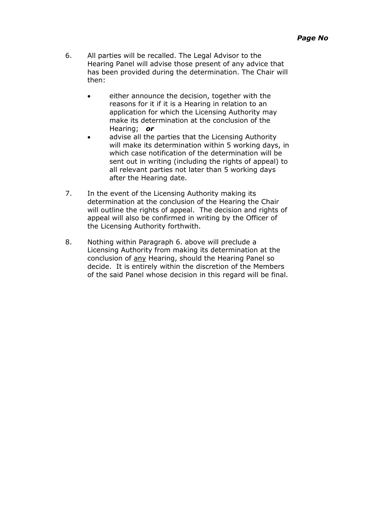- 6. All parties will be recalled. The Legal Advisor to the Hearing Panel will advise those present of any advice that has been provided during the determination. The Chair will then:
	- either announce the decision, together with the reasons for it if it is a Hearing in relation to an application for which the Licensing Authority may make its determination at the conclusion of the Hearing; *or*
	- advise all the parties that the Licensing Authority will make its determination within 5 working days, in which case notification of the determination will be sent out in writing (including the rights of appeal) to all relevant parties not later than 5 working days after the Hearing date.
- 7. In the event of the Licensing Authority making its determination at the conclusion of the Hearing the Chair will outline the rights of appeal. The decision and rights of appeal will also be confirmed in writing by the Officer of the Licensing Authority forthwith.
- 8. Nothing within Paragraph 6. above will preclude a Licensing Authority from making its determination at the conclusion of any Hearing, should the Hearing Panel so decide. It is entirely within the discretion of the Members of the said Panel whose decision in this regard will be final.